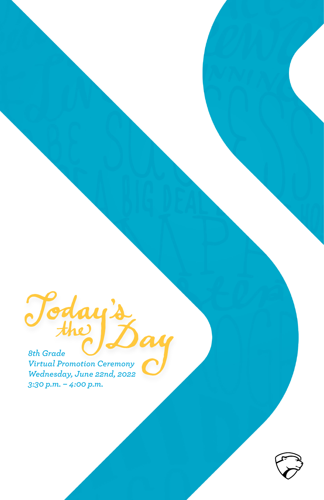Today's *8th Grade Virtual Promotion Ceremony Wednesday, June 22nd, 2022 3:30 p.m. – 4:00 p.m.*

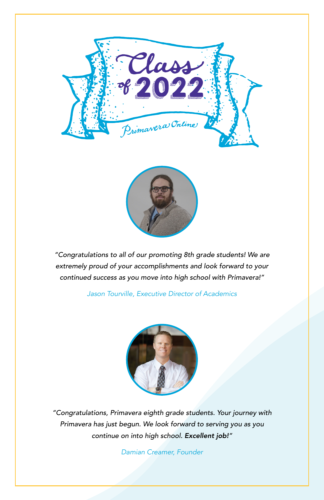



*"Congratulations to all of our promoting 8th grade students! We are extremely proud of your accomplishments and look forward to your continued success as you move into high school with Primavera!"*

*Jason Tourville, Executive Director of Academics*



*"Congratulations, Primavera eighth grade students. Your journey with Primavera has just begun. We look forward to serving you as you continue on into high school. Excellent job!"*

*Damian Creamer, Founder*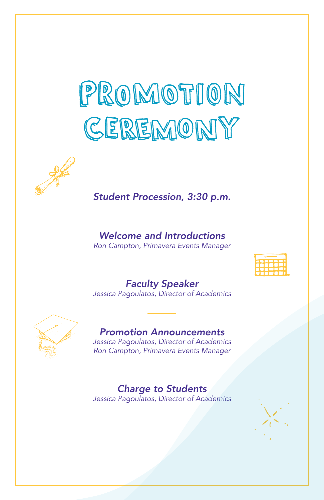# PROMOTION CEREMONY



### *Student Procession, 3:30 p.m.*

## *Welcome and Introductions*

*Ron Campton, Primavera Events Manager*

| _<br>- |  |
|--------|--|
|        |  |
|        |  |
| ٠      |  |

*Faculty Speaker Jessica Pagoulatos, Director of Academics*



#### *Promotion Announcements*

*Jessica Pagoulatos, Director of Academics Ron Campton, Primavera Events Manager*

#### *Charge to Students*

*Jessica Pagoulatos, Director of Academics*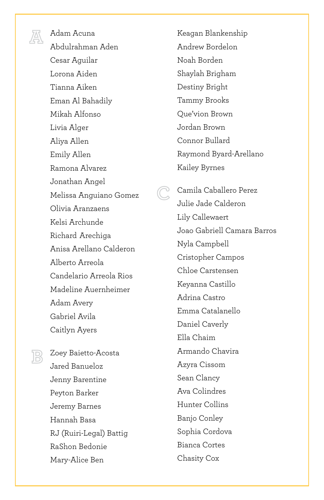

Adam Acuna Abdulrahman Aden Cesar Aguilar Lorona Aiden Tianna Aiken Eman Al Bahadily Mikah Alfonso Livia Alger Aliya Allen Emily Allen Ramona Alvarez Jonathan Angel Melissa Anguiano Gomez Olivia Aranzaens Kelsi Archunde Richard Arechiga Anisa Arellano Calderon Alberto Arreola Candelario Arreola Rios Madeline Auernheimer Adam Avery Gabriel Avila Caitlyn Ayers

**C**

Zoey Baietto-Acosta Jared Banueloz Jenny Barentine Peyton Barker Jeremy Barnes Hannah Basa RJ (Ruiri-Legal) Battig RaShon Bedonie Mary-Alice Ben

**B**

Keagan Blankenship Andrew Bordelon Noah Borden Shaylah Brigham Destiny Bright Tammy Brooks Que'vion Brown Jordan Brown Connor Bullard Raymond Byard-Arellano Kailey Byrnes

Camila Caballero Perez Julie Jade Calderon Lily Callewaert Joao Gabriell Camara Barros Nyla Campbell Cristopher Campos Chloe Carstensen Keyanna Castillo Adrina Castro Emma Catalanello Daniel Caverly Ella Chaim Armando Chavira Azyra Cissom Sean Clancy Ava Colindres Hunter Collins Banjo Conley Sophia Cordova Bianca Cortes Chasity Cox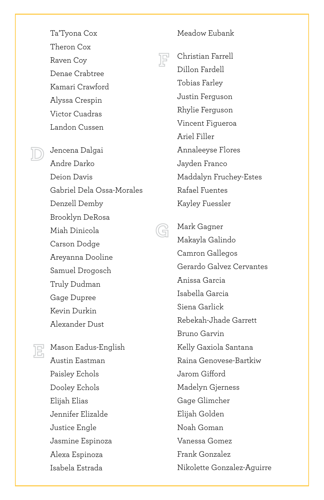Ta'Tyona Cox Theron Cox Raven Coy Denae Crabtree Kamari Crawford Alyssa Crespin Victor Cuadras Landon Cussen

Jencena Dalgai Andre Darko Deion Davis Gabriel Dela Ossa-Morales Denzell Demby Brooklyn DeRosa Miah Dinicola Carson Dodge Areyanna Dooline Samuel Drogosch Truly Dudman Gage Dupree Kevin Durkin Alexander Dust

Mason Eadus-English Austin Eastman Paisley Echols Dooley Echols Elijah Elias Jennifer Elizalde Justice Engle Jasmine Espinoza Alexa Espinoza Isabela Estrada

**E**

**D**

Meadow Eubank



**G**

Christian Farrell Dillon Fardell Tobias Farley Justin Ferguson Rhylie Ferguson Vincent Figueroa Ariel Filler Annaleeyse Flores Jayden Franco Maddalyn Fruchey-Estes Rafael Fuentes Kayley Fuessler

Mark Gagner Makayla Galindo Camron Gallegos Gerardo Galvez Cervantes Anissa Garcia Isabella Garcia Siena Garlick Rebekah-Jhade Garrett Bruno Garvin Kelly Gaxiola Santana Raina Genovese-Bartkiw Jarom Gifford Madelyn Gjerness Gage Glimcher Elijah Golden Noah Goman Vanessa Gomez Frank Gonzalez Nikolette Gonzalez-Aguirre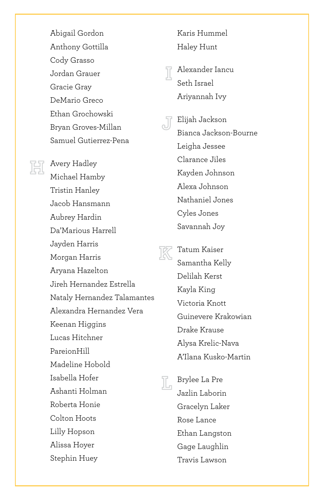Abigail Gordon Anthony Gottilla Cody Grasso Jordan Grauer Gracie Gray DeMario Greco Ethan Grochowski Bryan Groves-Millan Samuel Gutierrez-Pena

Avery Hadley **Headley**<br>Michael Hamby Tristin Hanley Jacob Hansmann Aubrey Hardin Da'Marious Harrell Jayden Harris Morgan Harris Aryana Hazelton Jireh Hernandez Estrella Nataly Hernandez Talamantes Alexandra Hernandez Vera Keenan Higgins Lucas Hitchner PareionHill Madeline Hobold Isabella Hofer Ashanti Holman Roberta Honie Colton Hoots Lilly Hopson Alissa Hoyer Stephin Huey

Karis Hummel Haley Hunt

Alexander Iancu **I** Seth Israel Ariyannah Ivy

Elijah Jackson Bianca Jackson-Bourne Leigha Jessee Clarance Jiles Kayden Johnson Alexa Johnson Nathaniel Jones Cyles Jones Savannah Joy **J**

Tatum Kaiser Samantha Kelly Delilah Kerst Kayla King Victoria Knott Guinevere Krakowian Drake Krause Alysa Krelic-Nava A'Ilana Kusko-Martin **K**

E<sub>n</sub> Brylee La Pre Jazlin Laborin Gracelyn Laker Rose Lance Ethan Langston Gage Laughlin Travis Lawson

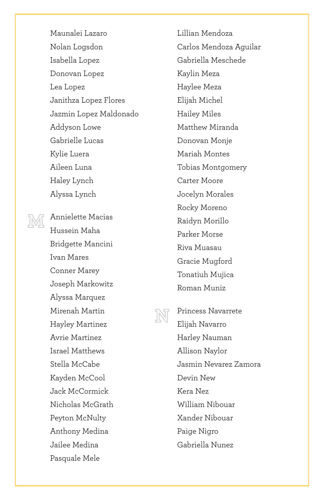Maunalei Lazaro Nolan Logsdon Isabella Lopez Donovan Lopez Lea Lopez Janithza Lopez Flores Jazmin Lopez Maldonado Addyson Lowe Gabrielle Lucas Kylie Luera Aileen Luna Haley Lynch Alyssa Lynch

**M**

Annielette Macias Hussein Maha Bridgette Mancini Ivan Mares Conner Marey Joseph Markowitz Alyssa Marquez Mirenah Martin Hayley Martinez Avrie Martinez Israel Matthews Stella McCabe Kayden McCool Jack McCormick Nicholas McGrath Peyton McNulty Anthony Medina Jailee Medina Pasquale Mele

Lillian Mendoza Carlos Mendoza Aguilar Gabriella Meschede Kaylin Meza Haylee Meza Elijah Michel Hailey Miles Matthew Miranda Donovan Monje Mariah Montes Tobias Montgomery Carter Moore Jocelyn Morales Rocky Moreno Raidyn Morillo Parker Morse Riva Muasau Gracie Mugford Tonatiuh Mujica Roman Muniz



Princess Navarrete Elijah Navarro Harley Nauman Allison Naylor Jasmin Nevarez Zamora Devin New Kera Nez William Nibouar Xander Nibouar Paige Nigro Gabriella Nunez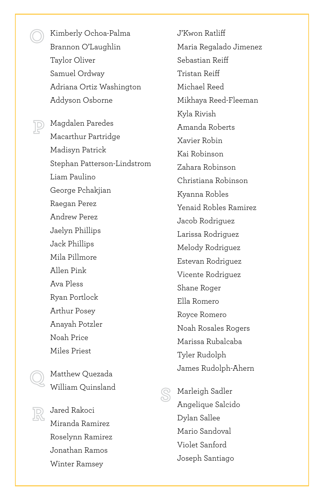Kimberly Ochoa-Palma Brannon O'Laughlin Taylor Oliver Samuel Ordway Adriana Ortiz Washington Addyson Osborne

Magdalen Paredes Macarthur Partridge Madisyn Patrick Stephan Patterson-Lindstrom Liam Paulino George Pchakjian Raegan Perez Andrew Perez Jaelyn Phillips Jack Phillips Mila Pillmore Allen Pink Ava Pless Ryan Portlock Arthur Posey Anayah Potzler Noah Price Miles Priest

Matthew Quezada William Quinsland



**Q**

**P**

**O**

Jared Rakoci Miranda Ramirez Roselynn Ramirez Jonathan Ramos Winter Ramsey

J'Kwon Ratliff Maria Regalado Jimenez Sebastian Reiff Tristan Reiff Michael Reed Mikhaya Reed-Fleeman Kyla Rivish Amanda Roberts Xavier Robin Kai Robinson Zahara Robinson Christiana Robinson Kyanna Robles Yenaid Robles Ramirez Jacob Rodriguez Larissa Rodriguez Melody Rodriguez Estevan Rodriguez Vicente Rodriguez Shane Roger Ella Romero Royce Romero Noah Rosales Rogers Marissa Rubalcaba Tyler Rudolph James Rudolph-Ahern



Marleigh Sadler Angelique Salcido Dylan Sallee Mario Sandoval Violet Sanford Joseph Santiago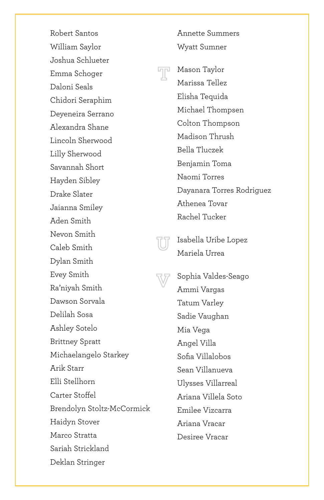Robert Santos William Saylor Joshua Schlueter Emma Schoger Daloni Seals Chidori Seraphim Deyeneira Serrano Alexandra Shane Lincoln Sherwood Lilly Sherwood Savannah Short Hayden Sibley Drake Slater Jaianna Smiley Aden Smith Nevon Smith Caleb Smith Dylan Smith Evey Smith Ra'niyah Smith Dawson Sorvala Delilah Sosa Ashley Sotelo Brittney Spratt Michaelangelo Starkey Arik Starr Elli Stellhorn Carter Stoffel Brendolyn Stoltz-McCormick Haidyn Stover Marco Stratta Sariah Strickland Deklan Stringer

Wyatt Sumner **Mason Taylor**<br>Marissa Telle Marissa Tellez Elisha Tequida Michael Thompsen Colton Thompson Madison Thrush Bella Tluczek Benjamin Toma Naomi Torres Dayanara Torres Rodriguez Athenea Tovar Rachel Tucker

Annette Summers



**V**

Isabella Uribe Lopez Mariela Urrea

Sophia Valdes-Seago Ammi Vargas Tatum Varley Sadie Vaughan Mia Vega Angel Villa Sofia Villalobos Sean Villanueva Ulysses Villarreal Ariana Villela Soto Emilee Vizcarra Ariana Vracar Desiree Vracar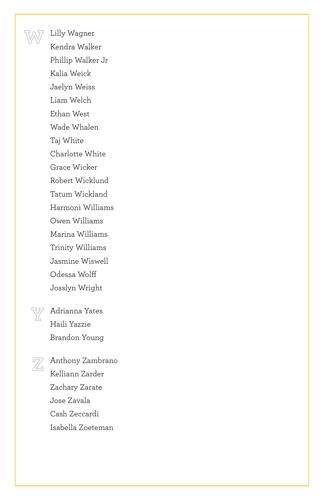Lilly Wagner Kendra Walker Phillip Walker Jr Kalia Weick Jaelyn Weiss Liam Welch Ethan West Wade Whalen Taj White Charlotte White Grace Wicker Robert Wicklund Tatum Wickland Harmoni Williams Owen Williams Marina Williams Trinity Williams Jasmine Wiswell Odessa Wolff Josslyn Wright



**W**

Adrianna Yates Haili Yazzie Brandon Young

Anthony Zambrano **Z**<br>Kelliann Zarder Zachary Zarate Jose Zavala Cash Zeccardi Isabella Zoeteman